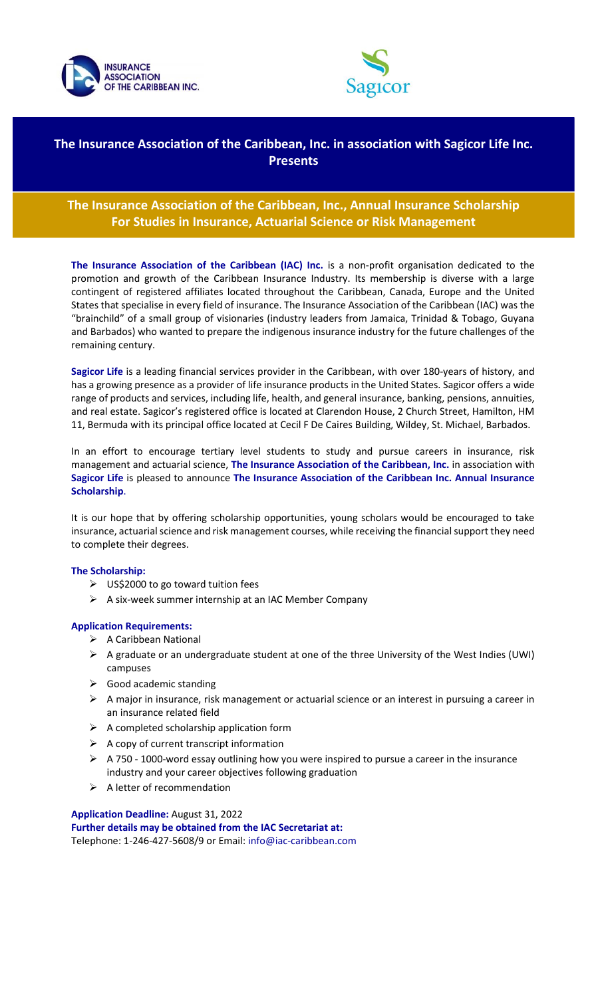



# **The Insurance Association of the Caribbean, Inc. in association with Sagicor Life Inc. Presents**

# **The Insurance Association of the Caribbean, Inc., Annual Insurance Scholarship For Studies in Insurance, Actuarial Science or Risk Management**

**The Insurance Association of the Caribbean (IAC) Inc.** is a non-profit organisation dedicated to the promotion and growth of the Caribbean Insurance Industry. Its membership is diverse with a large contingent of registered affiliates located throughout the Caribbean, Canada, Europe and the United States that specialise in every field of insurance. The Insurance Association of the Caribbean (IAC) was the "brainchild" of a small group of visionaries (industry leaders from Jamaica, Trinidad & Tobago, Guyana and Barbados) who wanted to prepare the indigenous insurance industry for the future challenges of the remaining century.

**Sagicor Life** is a leading financial services provider in the Caribbean, with over 180-years of history, and has a growing presence as a provider of life insurance products in the United States. Sagicor offers a wide range of products and services, including life, health, and general insurance, banking, pensions, annuities, and real estate. Sagicor's registered office is located at Clarendon House, 2 Church Street, Hamilton, HM 11, Bermuda with its principal office located at Cecil F De Caires Building, Wildey, St. Michael, Barbados.

In an effort to encourage tertiary level students to study and pursue careers in insurance, risk management and actuarial science, **The Insurance Association of the Caribbean, Inc.** in association with **Sagicor Life** is pleased to announce **The Insurance Association of the Caribbean Inc. Annual Insurance Scholarship**.

It is our hope that by offering scholarship opportunities, young scholars would be encouraged to take insurance, actuarial science and risk management courses, while receiving the financial support they need to complete their degrees.

## **The Scholarship:**

- ➢ US\$2000 to go toward tuition fees
- ➢ A six-week summer internship at an IAC Member Company

## **Application Requirements:**

- ➢ A Caribbean National
- ➢ A graduate or an undergraduate student at one of the three University of the West Indies (UWI) campuses
- $\triangleright$  Good academic standing
- $\triangleright$  A major in insurance, risk management or actuarial science or an interest in pursuing a career in an insurance related field
- $\triangleright$  A completed scholarship application form
- $\triangleright$  A copy of current transcript information
- ➢ A 750 1000-word essay outlining how you were inspired to pursue a career in the insurance industry and your career objectives following graduation
- $\triangleright$  A letter of recommendation

## **Application Deadline:** August 31, 2022

**Further details may be obtained from the IAC Secretariat at:**  Telephone: 1-246-427-5608/9 or Email: info@iac-caribbean.com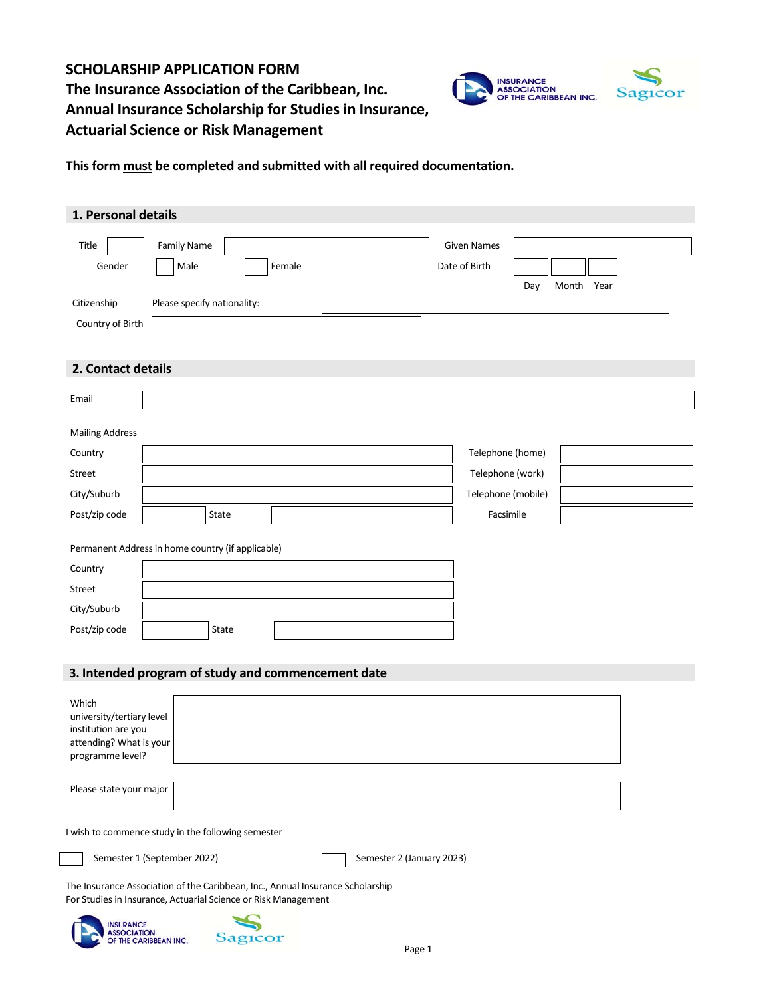# **SCHOLARSHIP APPLICATION FORM The Insurance Association of the Caribbean, Inc. Annual Insurance Scholarship for Studies in Insurance, Actuarial Science or Risk Management**



**This form must be completed and submitted with all required documentation.**

| 1. Personal details                                            |                             |         |        |                                                                                |        |                    |     |            |  |
|----------------------------------------------------------------|-----------------------------|---------|--------|--------------------------------------------------------------------------------|--------|--------------------|-----|------------|--|
| Title                                                          | <b>Family Name</b>          |         |        |                                                                                |        | <b>Given Names</b> |     |            |  |
| Gender                                                         | Male                        |         | Female |                                                                                |        | Date of Birth      |     |            |  |
| Citizenship                                                    | Please specify nationality: |         |        |                                                                                |        |                    | Day | Month Year |  |
| Country of Birth                                               |                             |         |        |                                                                                |        |                    |     |            |  |
|                                                                |                             |         |        |                                                                                |        |                    |     |            |  |
| 2. Contact details                                             |                             |         |        |                                                                                |        |                    |     |            |  |
|                                                                |                             |         |        |                                                                                |        |                    |     |            |  |
| Email                                                          |                             |         |        |                                                                                |        |                    |     |            |  |
| <b>Mailing Address</b>                                         |                             |         |        |                                                                                |        |                    |     |            |  |
| Country                                                        |                             |         |        |                                                                                |        | Telephone (home)   |     |            |  |
| Street                                                         |                             |         |        |                                                                                |        | Telephone (work)   |     |            |  |
| City/Suburb                                                    |                             |         |        |                                                                                |        | Telephone (mobile) |     |            |  |
| Post/zip code                                                  |                             | State   |        |                                                                                |        | Facsimile          |     |            |  |
|                                                                |                             |         |        |                                                                                |        |                    |     |            |  |
| Permanent Address in home country (if applicable)              |                             |         |        |                                                                                |        |                    |     |            |  |
| Country                                                        |                             |         |        |                                                                                |        |                    |     |            |  |
| Street                                                         |                             |         |        |                                                                                |        |                    |     |            |  |
| City/Suburb                                                    |                             | State   |        |                                                                                |        |                    |     |            |  |
| Post/zip code                                                  |                             |         |        |                                                                                |        |                    |     |            |  |
|                                                                |                             |         |        |                                                                                |        |                    |     |            |  |
| 3. Intended program of study and commencement date             |                             |         |        |                                                                                |        |                    |     |            |  |
| Which                                                          |                             |         |        |                                                                                |        |                    |     |            |  |
| university/tertiary level<br>institution are you               |                             |         |        |                                                                                |        |                    |     |            |  |
| attending? What is your<br>programme level?                    |                             |         |        |                                                                                |        |                    |     |            |  |
|                                                                |                             |         |        |                                                                                |        |                    |     |            |  |
| Please state your major                                        |                             |         |        |                                                                                |        |                    |     |            |  |
|                                                                |                             |         |        |                                                                                |        |                    |     |            |  |
| I wish to commence study in the following semester             |                             |         |        |                                                                                |        |                    |     |            |  |
|                                                                | Semester 1 (September 2022) |         |        | Semester 2 (January 2023)                                                      |        |                    |     |            |  |
|                                                                |                             |         |        |                                                                                |        |                    |     |            |  |
| For Studies in Insurance, Actuarial Science or Risk Management |                             |         |        | The Insurance Association of the Caribbean, Inc., Annual Insurance Scholarship |        |                    |     |            |  |
| <b>INSURANCE</b>                                               |                             |         |        |                                                                                |        |                    |     |            |  |
| <b>ASSOCIATION</b>                                             | OF THE CARIBBEAN INC.       | Sagicor |        |                                                                                |        |                    |     |            |  |
|                                                                |                             |         |        |                                                                                | Page 1 |                    |     |            |  |